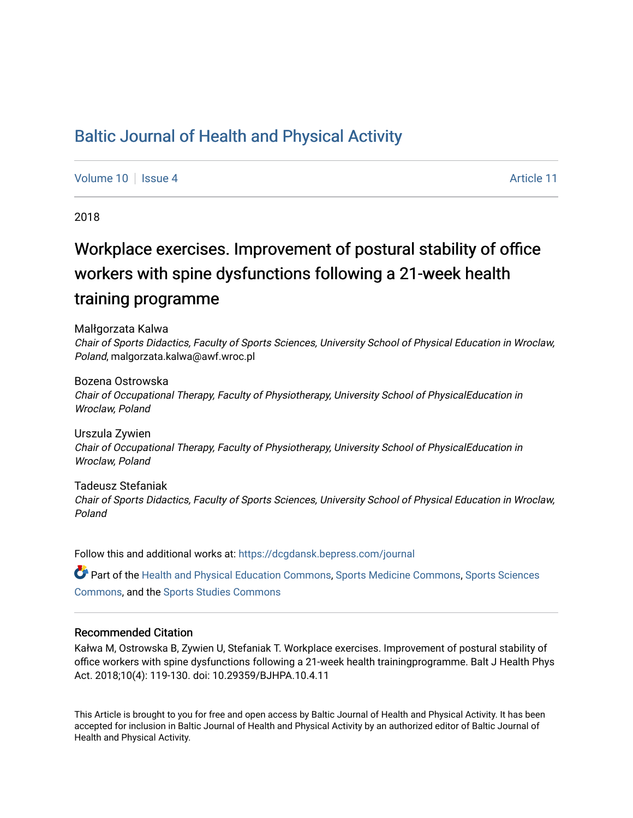## [Baltic Journal of Health and Physical Activity](https://dcgdansk.bepress.com/journal)

[Volume 10](https://dcgdansk.bepress.com/journal/vol10) | [Issue 4](https://dcgdansk.bepress.com/journal/vol10/iss4) Article 11

2018

# Workplace exercises. Improvement of postural stability of office workers with spine dysfunctions following a 21-week health training programme

Malłgorzata Kalwa

Chair of Sports Didactics, Faculty of Sports Sciences, University School of Physical Education in Wroclaw, Poland, malgorzata.kalwa@awf.wroc.pl

Bozena Ostrowska Chair of Occupational Therapy, Faculty of Physiotherapy, University School of PhysicalEducation in Wroclaw, Poland

Urszula Zywien Chair of Occupational Therapy, Faculty of Physiotherapy, University School of PhysicalEducation in Wroclaw, Poland

Tadeusz Stefaniak Chair of Sports Didactics, Faculty of Sports Sciences, University School of Physical Education in Wroclaw, Poland

Follow this and additional works at: [https://dcgdansk.bepress.com/journal](https://dcgdansk.bepress.com/journal?utm_source=dcgdansk.bepress.com%2Fjournal%2Fvol10%2Fiss4%2F11&utm_medium=PDF&utm_campaign=PDFCoverPages)

Part of the [Health and Physical Education Commons](http://network.bepress.com/hgg/discipline/1327?utm_source=dcgdansk.bepress.com%2Fjournal%2Fvol10%2Fiss4%2F11&utm_medium=PDF&utm_campaign=PDFCoverPages), [Sports Medicine Commons,](http://network.bepress.com/hgg/discipline/1331?utm_source=dcgdansk.bepress.com%2Fjournal%2Fvol10%2Fiss4%2F11&utm_medium=PDF&utm_campaign=PDFCoverPages) [Sports Sciences](http://network.bepress.com/hgg/discipline/759?utm_source=dcgdansk.bepress.com%2Fjournal%2Fvol10%2Fiss4%2F11&utm_medium=PDF&utm_campaign=PDFCoverPages) [Commons](http://network.bepress.com/hgg/discipline/759?utm_source=dcgdansk.bepress.com%2Fjournal%2Fvol10%2Fiss4%2F11&utm_medium=PDF&utm_campaign=PDFCoverPages), and the [Sports Studies Commons](http://network.bepress.com/hgg/discipline/1198?utm_source=dcgdansk.bepress.com%2Fjournal%2Fvol10%2Fiss4%2F11&utm_medium=PDF&utm_campaign=PDFCoverPages) 

#### Recommended Citation

Kałwa M, Ostrowska B, Zywien U, Stefaniak T. Workplace exercises. Improvement of postural stability of office workers with spine dysfunctions following a 21-week health trainingprogramme. Balt J Health Phys Act. 2018;10(4): 119-130. doi: 10.29359/BJHPA.10.4.11

This Article is brought to you for free and open access by Baltic Journal of Health and Physical Activity. It has been accepted for inclusion in Baltic Journal of Health and Physical Activity by an authorized editor of Baltic Journal of Health and Physical Activity.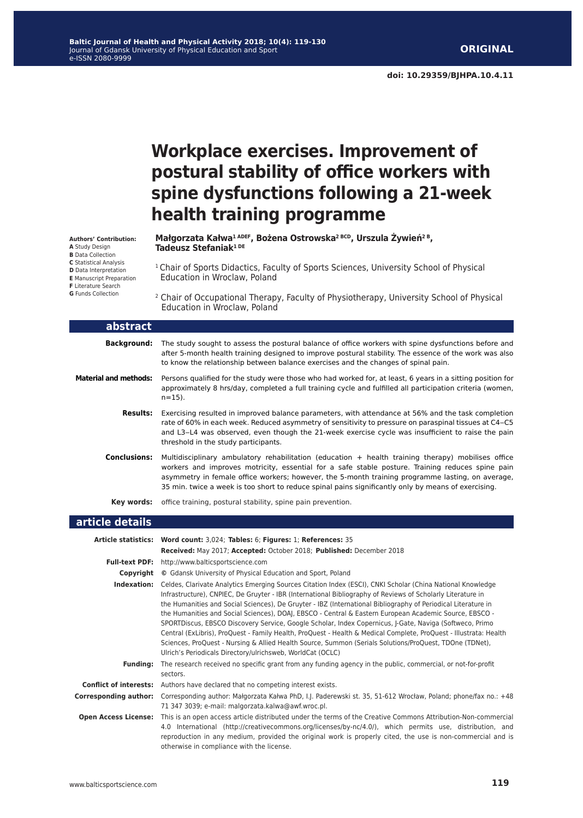**doi: 10.29359/BJHPA.10.4.11**

## **Workplace exercises. Improvement of postural stability of office workers with spine dysfunctions following a 21-week health training programme**

**Małgorzata Kałwa1 ADEF, Bożena Ostrowska2 BCD, Urszula Żywień2 B, Tadeusz Stefaniak1 DE**

<sup>1</sup> Chair of Sports Didactics, Faculty of Sports Sciences, University School of Physical Education in Wroclaw, Poland

**D** Data Interpretation **E** Manuscript Preparation

**Authors' Contribution: A** Study Design **B** Data Collection **C** Statistical Analysis

- **F** Literature Search
- **G** Funds Collection

<sup>2</sup> Chair of Occupational Therapy, Faculty of Physiotherapy, University School of Physical Education in Wroclaw, Poland

| abstract                     |                                                                                                                                                                                                                                                                                                                                                                                                                     |
|------------------------------|---------------------------------------------------------------------------------------------------------------------------------------------------------------------------------------------------------------------------------------------------------------------------------------------------------------------------------------------------------------------------------------------------------------------|
| <b>Background:</b>           | The study sought to assess the postural balance of office workers with spine dysfunctions before and<br>after 5-month health training designed to improve postural stability. The essence of the work was also<br>to know the relationship between balance exercises and the changes of spinal pain.                                                                                                                |
| <b>Material and methods:</b> | Persons qualified for the study were those who had worked for, at least, 6 years in a sitting position for<br>approximately 8 hrs/day, completed a full training cycle and fulfilled all participation criteria (women,<br>$n = 15$ ).                                                                                                                                                                              |
| <b>Results:</b>              | Exercising resulted in improved balance parameters, with attendance at 56% and the task completion<br>rate of 60% in each week. Reduced asymmetry of sensitivity to pressure on paraspinal tissues at C4–C5<br>and L3-L4 was observed, even though the 21-week exercise cycle was insufficient to raise the pain<br>threshold in the study participants.                                                            |
| <b>Conclusions:</b>          | Multidisciplinary ambulatory rehabilitation (education $+$ health training therapy) mobilises office<br>workers and improves motricity, essential for a safe stable posture. Training reduces spine pain<br>asymmetry in female office workers; however, the 5-month training programme lasting, on average,<br>35 min. twice a week is too short to reduce spinal pains significantly only by means of exercising. |
| Kev words:                   | office training, postural stability, spine pain prevention.                                                                                                                                                                                                                                                                                                                                                         |
| article details              |                                                                                                                                                                                                                                                                                                                                                                                                                     |

|                               | Article statistics: Word count: 3,024; Tables: 6; Figures: 1; References: 35                                                                                                                                                                                                                                                                                                                                                                                                                                                                                                                                                                                                                                                                                                                                                                                  |
|-------------------------------|---------------------------------------------------------------------------------------------------------------------------------------------------------------------------------------------------------------------------------------------------------------------------------------------------------------------------------------------------------------------------------------------------------------------------------------------------------------------------------------------------------------------------------------------------------------------------------------------------------------------------------------------------------------------------------------------------------------------------------------------------------------------------------------------------------------------------------------------------------------|
|                               | Received: May 2017; Accepted: October 2018; Published: December 2018                                                                                                                                                                                                                                                                                                                                                                                                                                                                                                                                                                                                                                                                                                                                                                                          |
|                               | Full-text PDF: http://www.balticsportscience.com                                                                                                                                                                                                                                                                                                                                                                                                                                                                                                                                                                                                                                                                                                                                                                                                              |
| Copyright                     | © Gdansk University of Physical Education and Sport, Poland                                                                                                                                                                                                                                                                                                                                                                                                                                                                                                                                                                                                                                                                                                                                                                                                   |
| Indexation:                   | Celdes, Clarivate Analytics Emerging Sources Citation Index (ESCI), CNKI Scholar (China National Knowledge<br>Infrastructure), CNPIEC, De Gruyter - IBR (International Bibliography of Reviews of Scholarly Literature in<br>the Humanities and Social Sciences), De Gruyter - IBZ (International Bibliography of Periodical Literature in<br>the Humanities and Social Sciences), DOAJ, EBSCO - Central & Eastern European Academic Source, EBSCO -<br>SPORTDiscus, EBSCO Discovery Service, Google Scholar, Index Copernicus, J-Gate, Naviga (Softweco, Primo<br>Central (ExLibris), ProQuest - Family Health, ProQuest - Health & Medical Complete, ProQuest - Illustrata: Health<br>Sciences, ProQuest - Nursing & Allied Health Source, Summon (Serials Solutions/ProQuest, TDOne (TDNet),<br>Ulrich's Periodicals Directory/ulrichsweb, WorldCat (OCLC) |
| <b>Funding:</b>               | The research received no specific grant from any funding agency in the public, commercial, or not-for-profit<br>sectors.                                                                                                                                                                                                                                                                                                                                                                                                                                                                                                                                                                                                                                                                                                                                      |
| <b>Conflict of interests:</b> | Authors have declared that no competing interest exists.                                                                                                                                                                                                                                                                                                                                                                                                                                                                                                                                                                                                                                                                                                                                                                                                      |
| <b>Corresponding author:</b>  | Corresponding author: Małgorzata Kałwa PhD, I.J. Paderewski st. 35, 51-612 Wrocław, Poland; phone/fax no.: +48<br>71 347 3039; e-mail: malgorzata.kalwa@awf.wroc.pl.                                                                                                                                                                                                                                                                                                                                                                                                                                                                                                                                                                                                                                                                                          |
| <b>Open Access License:</b>   | This is an open access article distributed under the terms of the Creative Commons Attribution-Non-commercial<br>4.0 International (http://creativecommons.org/licenses/by-nc/4.0/), which permits use, distribution, and<br>reproduction in any medium, provided the original work is properly cited, the use is non-commercial and is<br>otherwise in compliance with the license.                                                                                                                                                                                                                                                                                                                                                                                                                                                                          |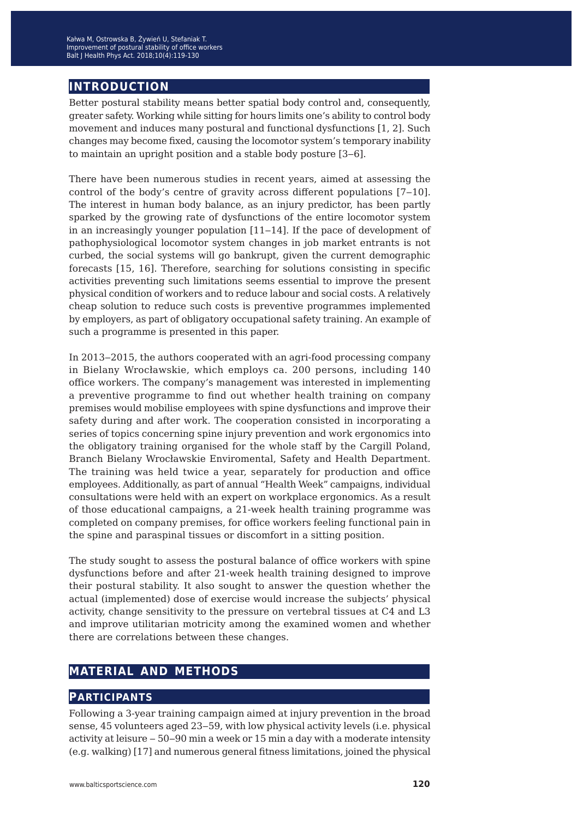### **introduction**

Better postural stability means better spatial body control and, consequently, greater safety. Working while sitting for hours limits one's ability to control body movement and induces many postural and functional dysfunctions [1, 2]. Such changes may become fixed, causing the locomotor system's temporary inability to maintain an upright position and a stable body posture [3–6].

There have been numerous studies in recent years, aimed at assessing the control of the body's centre of gravity across different populations [7–10]. The interest in human body balance, as an injury predictor, has been partly sparked by the growing rate of dysfunctions of the entire locomotor system in an increasingly younger population [11–14]. If the pace of development of pathophysiological locomotor system changes in job market entrants is not curbed, the social systems will go bankrupt, given the current demographic forecasts [15, 16]. Therefore, searching for solutions consisting in specific activities preventing such limitations seems essential to improve the present physical condition of workers and to reduce labour and social costs. A relatively cheap solution to reduce such costs is preventive programmes implemented by employers, as part of obligatory occupational safety training. An example of such a programme is presented in this paper.

In 2013–2015, the authors cooperated with an agri-food processing company in Bielany Wrocławskie, which employs ca. 200 persons, including 140 office workers. The company's management was interested in implementing a preventive programme to find out whether health training on company premises would mobilise employees with spine dysfunctions and improve their safety during and after work. The cooperation consisted in incorporating a series of topics concerning spine injury prevention and work ergonomics into the obligatory training organised for the whole staff by the Cargill Poland, Branch Bielany Wrocławskie Enviromental, Safety and Health Department. The training was held twice a year, separately for production and office employees. Additionally, as part of annual "Health Week" campaigns, individual consultations were held with an expert on workplace ergonomics. As a result of those educational campaigns, a 21-week health training programme was completed on company premises, for office workers feeling functional pain in the spine and paraspinal tissues or discomfort in a sitting position.

The study sought to assess the postural balance of office workers with spine dysfunctions before and after 21-week health training designed to improve their postural stability. It also sought to answer the question whether the actual (implemented) dose of exercise would increase the subjects' physical activity, change sensitivity to the pressure on vertebral tissues at C4 and L3 and improve utilitarian motricity among the examined women and whether there are correlations between these changes.

### **material and methods**

#### **participants**

Following a 3-year training campaign aimed at injury prevention in the broad sense, 45 volunteers aged 23–59, with low physical activity levels (i.e. physical activity at leisure ‒ 50‒90 min a week or 15 min a day with a moderate intensity (e.g. walking) [17] and numerous general fitness limitations, joined the physical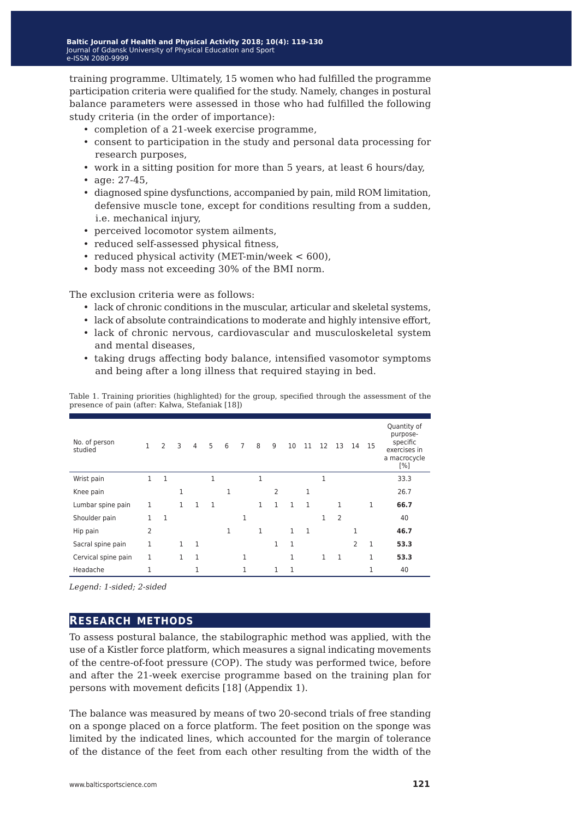training programme. Ultimately, 15 women who had fulfilled the programme participation criteria were qualified for the study. Namely, changes in postural balance parameters were assessed in those who had fulfilled the following study criteria (in the order of importance):

- completion of a 21-week exercise programme,
- consent to participation in the study and personal data processing for research purposes,
- work in a sitting position for more than 5 years, at least 6 hours/day,
- age: 27-45,
- diagnosed spine dysfunctions, accompanied by pain, mild ROM limitation, defensive muscle tone, except for conditions resulting from a sudden, i.e. mechanical injury,
- perceived locomotor system ailments,
- reduced self-assessed physical fitness,
- reduced physical activity (MET-min/week < 600),
- body mass not exceeding 30% of the BMI norm.

The exclusion criteria were as follows:

- lack of chronic conditions in the muscular, articular and skeletal systems,
- lack of absolute contraindications to moderate and highly intensive effort,
- lack of chronic nervous, cardiovascular and musculoskeletal system and mental diseases,
- taking drugs affecting body balance, intensified vasomotor symptoms and being after a long illness that required staying in bed.

|                                                                                                   | $0.000 + 0.00 + 0.00$ |
|---------------------------------------------------------------------------------------------------|-----------------------|
| presence of pain (after: Kalwa, Stefaniak [18])                                                   |                       |
| Table 1. Training priorities (highlighted) for the group, specified through the assessment of the |                       |

| No. of person<br>studied | $\mathbf{1}$ | 2            | 3            | $\overline{4}$ | 5 | 6 | $\overline{7}$ | 8            | 9            | 10           | 11           | 12           | 13 | 14             | -15 | Quantity of<br>purpose-<br>specific<br>exercises in<br>a macrocycle<br>[%] |
|--------------------------|--------------|--------------|--------------|----------------|---|---|----------------|--------------|--------------|--------------|--------------|--------------|----|----------------|-----|----------------------------------------------------------------------------|
| Wrist pain               | 1            | $\mathbf{1}$ |              |                | 1 |   |                | $\mathbf{1}$ |              |              |              | 1            |    |                |     | 33.3                                                                       |
| Knee pain                |              |              | 1            |                |   |   |                |              | 2            |              | 1            |              |    |                |     | 26.7                                                                       |
| Lumbar spine pain        | 1            |              | $\mathbf{1}$ | 1              | 1 |   |                | 1            | 1            | 1            | $\mathbf{1}$ |              | 1  |                | 1   | 66.7                                                                       |
| Shoulder pain            | 1            | $\mathbf{1}$ |              |                |   |   | 1              |              |              |              |              | 1            | 2  |                |     | 40                                                                         |
| Hip pain                 | 2            |              |              |                |   | 1 |                | $\mathbf{1}$ |              | $\mathbf{1}$ | $\mathbf{1}$ |              |    | 1              |     | 46.7                                                                       |
| Sacral spine pain        | 1            |              | $\mathbf{1}$ | $\mathbf{1}$   |   |   |                |              | $\mathbf{1}$ | 1            |              |              |    | $\overline{2}$ | 1   | 53.3                                                                       |
| Cervical spine pain      | 1            |              | $\mathbf{1}$ | 1              |   |   | 1              |              |              | 1            |              | $\mathbf{1}$ | 1  |                | 1   | 53.3                                                                       |
| Headache                 | 1            |              |              | 1              |   |   | 1              |              | 1            | 1            |              |              |    |                | 1   | 40                                                                         |

*Legend: 1-sided; 2-sided*

#### **research methods**

To assess postural balance, the stabilographic method was applied, with the use of a Kistler force platform, which measures a signal indicating movements of the centre-of-foot pressure (COP). The study was performed twice, before and after the 21-week exercise programme based on the training plan for persons with movement deficits [18] (Appendix 1).

The balance was measured by means of two 20-second trials of free standing on a sponge placed on a force platform. The feet position on the sponge was limited by the indicated lines, which accounted for the margin of tolerance of the distance of the feet from each other resulting from the width of the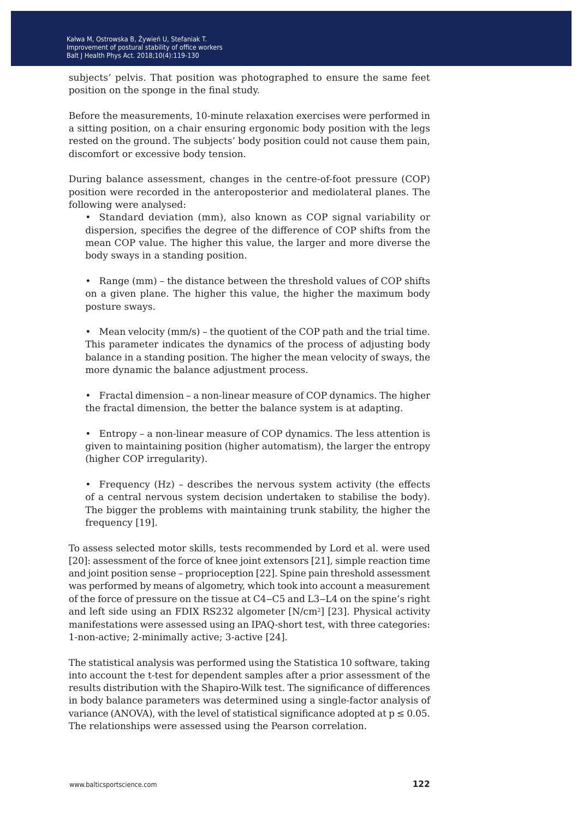subjects' pelvis. That position was photographed to ensure the same feet position on the sponge in the final study.

Before the measurements, 10-minute relaxation exercises were performed in a sitting position, on a chair ensuring ergonomic body position with the legs rested on the ground. The subjects' body position could not cause them pain, discomfort or excessive body tension.

During balance assessment, changes in the centre-of-foot pressure (COP) position were recorded in the anteroposterior and mediolateral planes. The following were analysed:

• Standard deviation (mm), also known as COP signal variability or dispersion, specifies the degree of the difference of COP shifts from the mean COP value. The higher this value, the larger and more diverse the body sways in a standing position.

• Range (mm) – the distance between the threshold values of COP shifts on a given plane. The higher this value, the higher the maximum body posture sways.

• Mean velocity (mm/s) – the quotient of the COP path and the trial time. This parameter indicates the dynamics of the process of adjusting body balance in a standing position. The higher the mean velocity of sways, the more dynamic the balance adjustment process.

• Fractal dimension – a non-linear measure of COP dynamics. The higher the fractal dimension, the better the balance system is at adapting.

• Entropy – a non-linear measure of COP dynamics. The less attention is given to maintaining position (higher automatism), the larger the entropy (higher COP irregularity).

• Frequency (Hz) – describes the nervous system activity (the effects of a central nervous system decision undertaken to stabilise the body). The bigger the problems with maintaining trunk stability, the higher the frequency [19].

To assess selected motor skills, tests recommended by Lord et al. were used [20]: assessment of the force of knee joint extensors [21], simple reaction time and joint position sense – proprioception [22]. Spine pain threshold assessment was performed by means of algometry, which took into account a measurement of the force of pressure on the tissue at C4‒C5 and L3‒L4 on the spine's right and left side using an FDIX RS232 algometer [N/cm<sup>2</sup>] [23]. Physical activity manifestations were assessed using an IPAQ-short test, with three categories: 1-non-active; 2-minimally active; 3-active [24].

The statistical analysis was performed using the Statistica 10 software, taking into account the t-test for dependent samples after a prior assessment of the results distribution with the Shapiro-Wilk test. The significance of differences in body balance parameters was determined using a single-factor analysis of variance (ANOVA), with the level of statistical significance adopted at  $p \le 0.05$ . The relationships were assessed using the Pearson correlation.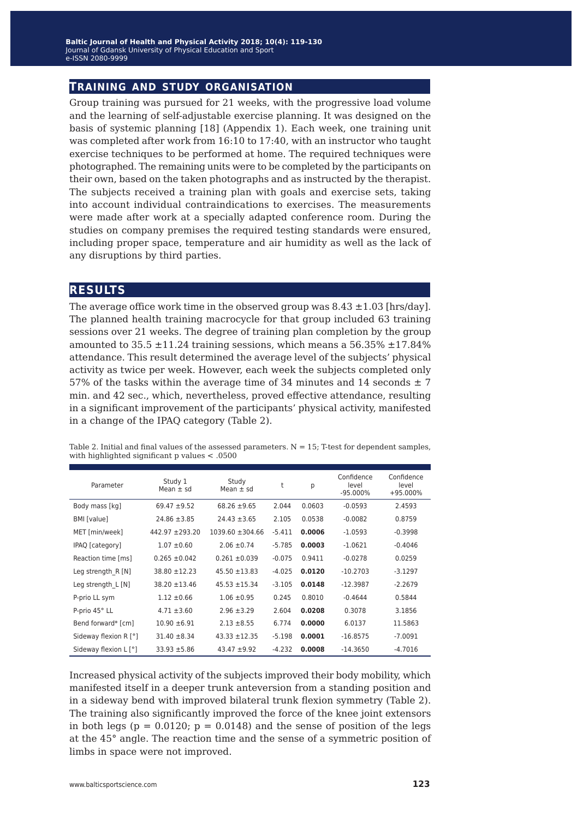#### **training and study organisation**

Group training was pursued for 21 weeks, with the progressive load volume and the learning of self-adjustable exercise planning. It was designed on the basis of systemic planning [18] (Appendix 1). Each week, one training unit was completed after work from 16:10 to 17:40, with an instructor who taught exercise techniques to be performed at home. The required techniques were photographed. The remaining units were to be completed by the participants on their own, based on the taken photographs and as instructed by the therapist. The subjects received a training plan with goals and exercise sets, taking into account individual contraindications to exercises. The measurements were made after work at a specially adapted conference room. During the studies on company premises the required testing standards were ensured, including proper space, temperature and air humidity as well as the lack of any disruptions by third parties.

#### **results**

The average office work time in the observed group was  $8.43 \pm 1.03$  [hrs/day]. The planned health training macrocycle for that group included 63 training sessions over 21 weeks. The degree of training plan completion by the group amounted to  $35.5 \pm 11.24$  training sessions, which means a  $56.35\% \pm 17.84\%$ attendance. This result determined the average level of the subjects' physical activity as twice per week. However, each week the subjects completed only 57% of the tasks within the average time of 34 minutes and 14 seconds  $\pm$  7 min. and 42 sec., which, nevertheless, proved effective attendance, resulting in a significant improvement of the participants' physical activity, manifested in a change of the IPAQ category (Table 2).

Table 2. Initial and final values of the assessed parameters.  $N = 15$ ; T-test for dependent samples, with highlighted significant p values < .0500

| Parameter                    | Study 1<br>Mean $\pm$ sd | Study<br>Mean $\pm$ sd | t        | р      | Confidence<br>level<br>$-95.000\%$ | Confidence<br>level<br>+95.000% |
|------------------------------|--------------------------|------------------------|----------|--------|------------------------------------|---------------------------------|
| Body mass [kg]               | $69.47 + 9.52$           | $68.26 \pm 9.65$       | 2.044    | 0.0603 | $-0.0593$                          | 2.4593                          |
| BMI [value]                  | $24.86 \pm 3.85$         | $24.43 \pm 3.65$       | 2.105    | 0.0538 | $-0.0082$                          | 0.8759                          |
| MET [min/week]               | $442.97 + 293.20$        | $1039.60 \pm 304.66$   | $-5.411$ | 0.0006 | $-1.0593$                          | $-0.3998$                       |
| IPAQ [category]              | $1.07 \pm 0.60$          | $2.06 \pm 0.74$        | $-5.785$ | 0.0003 | $-1.0621$                          | $-0.4046$                       |
| Reaction time [ms]           | $0.265 \pm 0.042$        | $0.261 \pm 0.039$      | $-0.075$ | 0.9411 | $-0.0278$                          | 0.0259                          |
| Leg strength $R[N]$          | 38.80 ±12.23             | $45.50 \pm 13.83$      | $-4.025$ | 0.0120 | $-10.2703$                         | $-3.1297$                       |
| Leg strength $L[N]$          | $38.20 \pm 13.46$        | $45.53 + 15.34$        | $-3.105$ | 0.0148 | $-12.3987$                         | $-2.2679$                       |
| P-prio LL sym                | $1.12 \pm 0.66$          | $1.06 \pm 0.95$        | 0.245    | 0.8010 | $-0.4644$                          | 0.5844                          |
| P-prio 45° LL                | $4.71 \pm 3.60$          | $2.96 \pm 3.29$        | 2.604    | 0.0208 | 0.3078                             | 3.1856                          |
| Bend forward* [cm]           | $10.90 \pm 6.91$         | $2.13 \pm 8.55$        | 6.774    | 0.0000 | 6.0137                             | 11.5863                         |
| Sideway flexion R [°]        | $31.40 \pm 8.34$         | $43.33 + 12.35$        | $-5.198$ | 0.0001 | $-16.8575$                         | $-7.0091$                       |
| Sideway flexion $L[\degree]$ | $33.93 + 5.86$           | $43.47 + 9.92$         | $-4.232$ | 0.0008 | $-14.3650$                         | $-4.7016$                       |

Increased physical activity of the subjects improved their body mobility, which manifested itself in a deeper trunk anteversion from a standing position and in a sideway bend with improved bilateral trunk flexion symmetry (Table 2). The training also significantly improved the force of the knee joint extensors in both legs ( $p = 0.0120$ ;  $p = 0.0148$ ) and the sense of position of the legs at the 45° angle. The reaction time and the sense of a symmetric position of limbs in space were not improved.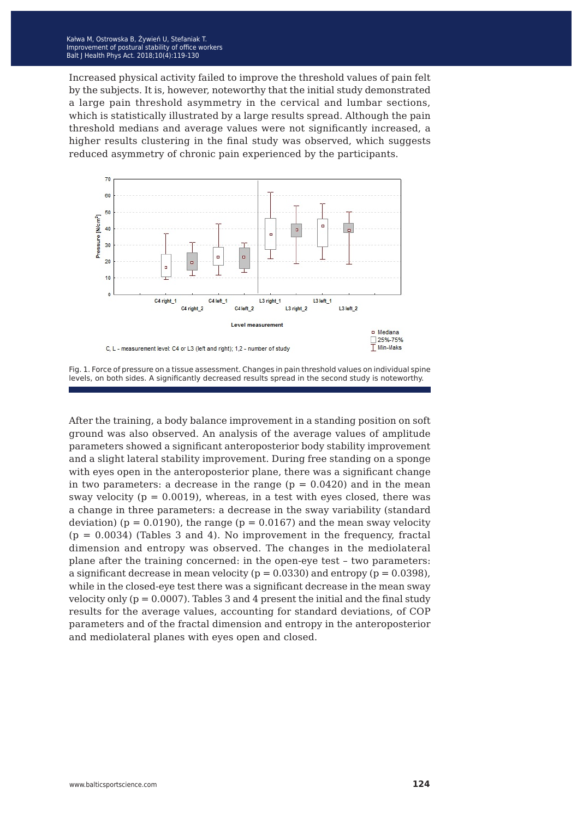Increased physical activity failed to improve the threshold values of pain felt by the subjects. It is, however, noteworthy that the initial study demonstrated a large pain threshold asymmetry in the cervical and lumbar sections, which is statistically illustrated by a large results spread. Although the pain threshold medians and average values were not significantly increased, a higher results clustering in the final study was observed, which suggests reduced asymmetry of chronic pain experienced by the participants.





After the training, a body balance improvement in a standing position on soft ground was also observed. An analysis of the average values of amplitude parameters showed a significant anteroposterior body stability improvement and a slight lateral stability improvement. During free standing on a sponge with eyes open in the anteroposterior plane, there was a significant change in two parameters: a decrease in the range  $(p = 0.0420)$  and in the mean sway velocity ( $p = 0.0019$ ), whereas, in a test with eyes closed, there was a change in three parameters: a decrease in the sway variability (standard deviation) ( $p = 0.0190$ ), the range ( $p = 0.0167$ ) and the mean sway velocity  $(p = 0.0034)$  (Tables 3 and 4). No improvement in the frequency, fractal dimension and entropy was observed. The changes in the mediolateral plane after the training concerned: in the open-eye test – two parameters: a significant decrease in mean velocity ( $p = 0.0330$ ) and entropy ( $p = 0.0398$ ), while in the closed-eye test there was a significant decrease in the mean sway velocity only  $(p = 0.0007)$ . Tables 3 and 4 present the initial and the final study results for the average values, accounting for standard deviations, of COP parameters and of the fractal dimension and entropy in the anteroposterior and mediolateral planes with eyes open and closed.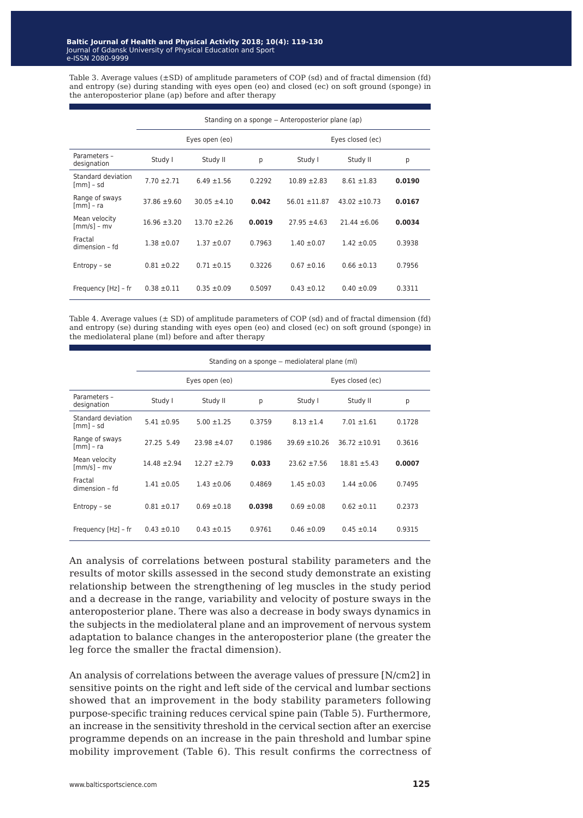Table 3. Average values (±SD) of amplitude parameters of COP (sd) and of fractal dimension (fd) and entropy (se) during standing with eyes open (eo) and closed (ec) on soft ground (sponge) in the anteroposterior plane (ap) before and after therapy

|                                   |                  |                  |        | Standing on a sponge – Anteroposterior plane (ap) |                   |        |
|-----------------------------------|------------------|------------------|--------|---------------------------------------------------|-------------------|--------|
|                                   |                  | Eyes open (eo)   |        |                                                   | Eyes closed (ec)  |        |
| Parameters -<br>designation       | Study I          | Study II         | p      | Study I                                           | Study II          | р      |
| Standard deviation<br>$[mm]$ - sd | $7.70 \pm 2.71$  | $6.49 \pm 1.56$  | 0.2292 | $10.89 \pm 2.83$                                  | $8.61 \pm 1.83$   | 0.0190 |
| Range of sways<br>$[mm] - ra$     | $37.86 \pm 9.60$ | $30.05 \pm 4.10$ | 0.042  | $56.01 \pm 11.87$                                 | $43.02 \pm 10.73$ | 0.0167 |
| Mean velocity<br>$[mm/s] - mv$    | $16.96 \pm 3.20$ | $13.70 \pm 2.26$ | 0.0019 | $27.95 \pm 4.63$                                  | $21.44 \pm 6.06$  | 0.0034 |
| Fractal<br>dimension - fd         | $1.38 \pm 0.07$  | $1.37 \pm 0.07$  | 0.7963 | $1.40 \pm 0.07$                                   | $1.42 \pm 0.05$   | 0.3938 |
| $Entropy - se$                    | $0.81 \pm 0.22$  | $0.71 \pm 0.15$  | 0.3226 | $0.67 \pm 0.16$                                   | $0.66 \pm 0.13$   | 0.7956 |
| Frequency [Hz] – fr               | $0.38 \pm 0.11$  | $0.35 \pm 0.09$  | 0.5097 | $0.43 \pm 0.12$                                   | $0.40 \pm 0.09$   | 0.3311 |

Table 4. Average values  $(\pm SD)$  of amplitude parameters of COP (sd) and of fractal dimension (fd) and entropy (se) during standing with eyes open (eo) and closed (ec) on soft ground (sponge) in the mediolateral plane (ml) before and after therapy

|                                               |                  |                  |        | Standing on a sponge – mediolateral plane (ml) |                   |        |
|-----------------------------------------------|------------------|------------------|--------|------------------------------------------------|-------------------|--------|
|                                               |                  | Eyes open (eo)   |        |                                                | Eyes closed (ec)  |        |
| Parameters -<br>designation                   | Study I          | Study II         | p      | Study I                                        | Study II          | р      |
| Standard deviation<br>$\lceil mm \rceil$ – sd | $5.41 \pm 0.95$  | $5.00 \pm 1.25$  | 0.3759 | $8.13 \pm 1.4$                                 | $7.01 \pm 1.61$   | 0.1728 |
| Range of sways<br>[mm] – ra                   | 27.25 5.49       | $23.98 \pm 4.07$ | 0.1986 | $39.69 \pm 10.26$                              | $36.72 \pm 10.91$ | 0.3616 |
| Mean velocity<br>$\lceil mm/s \rceil$ – $mv$  | $14.48 \pm 2.94$ | $12.27 + 2.79$   | 0.033  | $23.62 \pm 7.56$                               | $18.81 \pm 5.43$  | 0.0007 |
| Fractal<br>dimension - fd                     | $1.41 \pm 0.05$  | $1.43 \pm 0.06$  | 0.4869 | $1.45 \pm 0.03$                                | $1.44 \pm 0.06$   | 0.7495 |
| Entropy - se                                  | $0.81 \pm 0.17$  | $0.69 \pm 0.18$  | 0.0398 | $0.69 \pm 0.08$                                | $0.62 \pm 0.11$   | 0.2373 |
| Frequency [Hz] – fr                           | $0.43 \pm 0.10$  | $0.43 \pm 0.15$  | 0.9761 | $0.46 \pm 0.09$                                | $0.45 \pm 0.14$   | 0.9315 |

An analysis of correlations between postural stability parameters and the results of motor skills assessed in the second study demonstrate an existing relationship between the strengthening of leg muscles in the study period and a decrease in the range, variability and velocity of posture sways in the anteroposterior plane. There was also a decrease in body sways dynamics in the subjects in the mediolateral plane and an improvement of nervous system adaptation to balance changes in the anteroposterior plane (the greater the leg force the smaller the fractal dimension).

An analysis of correlations between the average values of pressure [N/cm2] in sensitive points on the right and left side of the cervical and lumbar sections showed that an improvement in the body stability parameters following purpose-specific training reduces cervical spine pain (Table 5). Furthermore, an increase in the sensitivity threshold in the cervical section after an exercise programme depends on an increase in the pain threshold and lumbar spine mobility improvement (Table 6). This result confirms the correctness of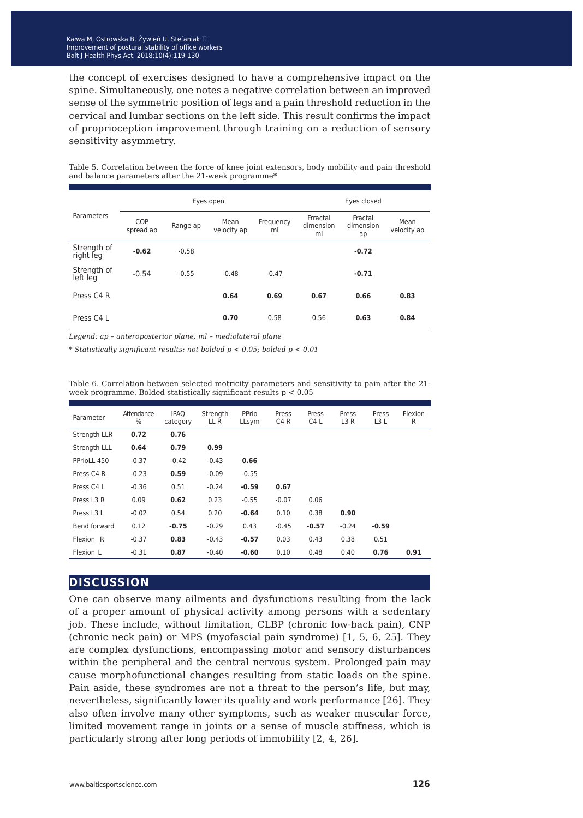the concept of exercises designed to have a comprehensive impact on the spine. Simultaneously, one notes a negative correlation between an improved sense of the symmetric position of legs and a pain threshold reduction in the cervical and lumbar sections on the left side. This result confirms the impact of proprioception improvement through training on a reduction of sensory sensitivity asymmetry.

|                          |                         |          | Eyes open           |                 |                             | Eyes closed                |                     |
|--------------------------|-------------------------|----------|---------------------|-----------------|-----------------------------|----------------------------|---------------------|
| Parameters               | <b>COP</b><br>spread ap | Range ap | Mean<br>velocity ap | Frequency<br>ml | Frractal<br>dimension<br>ml | Fractal<br>dimension<br>ap | Mean<br>velocity ap |
| Strength of<br>right leg | $-0.62$                 | $-0.58$  |                     |                 |                             | $-0.72$                    |                     |
| Strength of<br>left leg  | $-0.54$                 | $-0.55$  | $-0.48$             | $-0.47$         |                             | $-0.71$                    |                     |
| Press C4 R               |                         |          | 0.64                | 0.69            | 0.67                        | 0.66                       | 0.83                |
| Press C4 L               |                         |          | 0.70                | 0.58            | 0.56                        | 0.63                       | 0.84                |

Table 5. Correlation between the force of knee joint extensors, body mobility and pain threshold and balance parameters after the 21-week programme\*

*Legend: ap – anteroposterior plane; ml – mediolateral plane*

*\* Statistically significant results: not bolded p < 0.05; bolded p < 0.01*

Table 6. Correlation between selected motricity parameters and sensitivity to pain after the 21 week programme. Bolded statistically significant results p < 0.05

| Parameter    | Attendance<br>$\frac{0}{0}$ | <b>IPAO</b><br>category | Strength<br>LL R | PPrio<br>LLsym | Press<br>C <sub>4</sub> R | Press<br>C <sub>4</sub> L | Press<br>L3R | Press<br>L3L | Flexion<br>R |
|--------------|-----------------------------|-------------------------|------------------|----------------|---------------------------|---------------------------|--------------|--------------|--------------|
| Strength LLR | 0.72                        | 0.76                    |                  |                |                           |                           |              |              |              |
| Strength LLL | 0.64                        | 0.79                    | 0.99             |                |                           |                           |              |              |              |
| PPrioLL 450  | $-0.37$                     | $-0.42$                 | $-0.43$          | 0.66           |                           |                           |              |              |              |
| Press C4 R   | $-0.23$                     | 0.59                    | $-0.09$          | $-0.55$        |                           |                           |              |              |              |
| Press C4 L   | $-0.36$                     | 0.51                    | $-0.24$          | $-0.59$        | 0.67                      |                           |              |              |              |
| Press L3 R   | 0.09                        | 0.62                    | 0.23             | $-0.55$        | $-0.07$                   | 0.06                      |              |              |              |
| Press L3 L   | $-0.02$                     | 0.54                    | 0.20             | $-0.64$        | 0.10                      | 0.38                      | 0.90         |              |              |
| Bend forward | 0.12                        | $-0.75$                 | $-0.29$          | 0.43           | $-0.45$                   | $-0.57$                   | $-0.24$      | $-0.59$      |              |
| Flexion R    | $-0.37$                     | 0.83                    | $-0.43$          | $-0.57$        | 0.03                      | 0.43                      | 0.38         | 0.51         |              |
| Flexion L    | $-0.31$                     | 0.87                    | $-0.40$          | $-0.60$        | 0.10                      | 0.48                      | 0.40         | 0.76         | 0.91         |

#### **discussion**

One can observe many ailments and dysfunctions resulting from the lack of a proper amount of physical activity among persons with a sedentary job. These include, without limitation, CLBP (chronic low-back pain), CNP (chronic neck pain) or MPS (myofascial pain syndrome) [1, 5, 6, 25]. They are complex dysfunctions, encompassing motor and sensory disturbances within the peripheral and the central nervous system. Prolonged pain may cause morphofunctional changes resulting from static loads on the spine. Pain aside, these syndromes are not a threat to the person's life, but may, nevertheless, significantly lower its quality and work performance [26]. They also often involve many other symptoms, such as weaker muscular force, limited movement range in joints or a sense of muscle stiffness, which is particularly strong after long periods of immobility [2, 4, 26].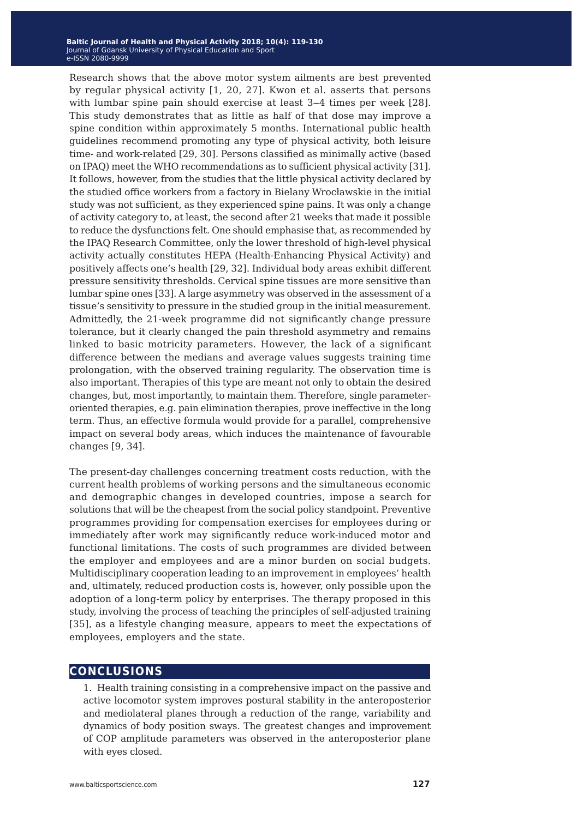Research shows that the above motor system ailments are best prevented by regular physical activity [1, 20, 27]. Kwon et al. asserts that persons with lumbar spine pain should exercise at least  $3-4$  times per week [28]. This study demonstrates that as little as half of that dose may improve a spine condition within approximately 5 months. International public health guidelines recommend promoting any type of physical activity, both leisure time- and work-related [29, 30]. Persons classified as minimally active (based on IPAQ) meet the WHO recommendations as to sufficient physical activity [31]. It follows, however, from the studies that the little physical activity declared by the studied office workers from a factory in Bielany Wrocławskie in the initial study was not sufficient, as they experienced spine pains. It was only a change of activity category to, at least, the second after 21 weeks that made it possible to reduce the dysfunctions felt. One should emphasise that, as recommended by the IPAQ Research Committee, only the lower threshold of high-level physical activity actually constitutes HEPA (Health-Enhancing Physical Activity) and positively affects one's health [29, 32]. Individual body areas exhibit different pressure sensitivity thresholds. Cervical spine tissues are more sensitive than lumbar spine ones [33]. A large asymmetry was observed in the assessment of a tissue's sensitivity to pressure in the studied group in the initial measurement. Admittedly, the 21-week programme did not significantly change pressure tolerance, but it clearly changed the pain threshold asymmetry and remains linked to basic motricity parameters. However, the lack of a significant difference between the medians and average values suggests training time prolongation, with the observed training regularity. The observation time is also important. Therapies of this type are meant not only to obtain the desired changes, but, most importantly, to maintain them. Therefore, single parameteroriented therapies, e.g. pain elimination therapies, prove ineffective in the long term. Thus, an effective formula would provide for a parallel, comprehensive impact on several body areas, which induces the maintenance of favourable changes [9, 34].

The present-day challenges concerning treatment costs reduction, with the current health problems of working persons and the simultaneous economic and demographic changes in developed countries, impose a search for solutions that will be the cheapest from the social policy standpoint. Preventive programmes providing for compensation exercises for employees during or immediately after work may significantly reduce work-induced motor and functional limitations. The costs of such programmes are divided between the employer and employees and are a minor burden on social budgets. Multidisciplinary cooperation leading to an improvement in employees' health and, ultimately, reduced production costs is, however, only possible upon the adoption of a long-term policy by enterprises. The therapy proposed in this study, involving the process of teaching the principles of self-adjusted training [35], as a lifestyle changing measure, appears to meet the expectations of employees, employers and the state.

#### **conclusions**

1. Health training consisting in a comprehensive impact on the passive and active locomotor system improves postural stability in the anteroposterior and mediolateral planes through a reduction of the range, variability and dynamics of body position sways. The greatest changes and improvement of COP amplitude parameters was observed in the anteroposterior plane with eyes closed.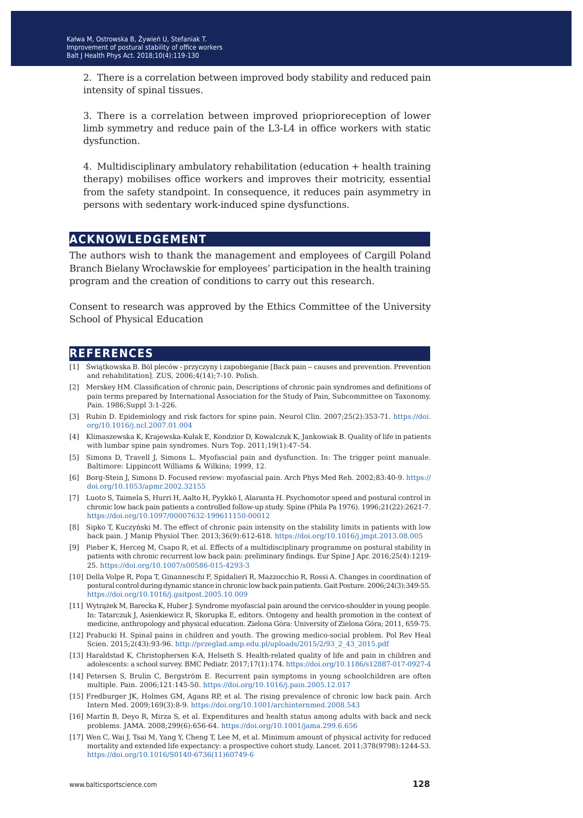2. There is a correlation between improved body stability and reduced pain intensity of spinal tissues.

3. There is a correlation between improved prioprioreception of lower limb symmetry and reduce pain of the L3-L4 in office workers with static dysfunction.

4. Multidisciplinary ambulatory rehabilitation (education + health training therapy) mobilises office workers and improves their motricity, essential from the safety standpoint. In consequence, it reduces pain asymmetry in persons with sedentary work-induced spine dysfunctions.

#### **acknowledgement**

The authors wish to thank the management and employees of Cargill Poland Branch Bielany Wrocławskie for employees' participation in the health training program and the creation of conditions to carry out this research.

Consent to research was approved by the Ethics Committee of the University School of Physical Education

#### **references**

- [1] Świątkowska B. Ból pleców przyczyny i zapobieganie [Back pain ‒ causes and prevention. Prevention and rehabilitation]. ZUS, 2006;4(14);7-10. Polish.
- [2] Merskey HM. Classification of chronic pain, Descriptions of chronic pain syndromes and definitions of pain terms prepared by International Association for the Study of Pain, Subcommittee on Taxonomy. Pain. 1986;Suppl 3:1-226.
- [3] Rubin D. Epidemiology and risk factors for spine pain. Neurol Clin. 2007;25(2):353-71. [https://doi.](https://doi.org/10.1016/j.ncl.2007.01.004) [org/10.1016/j.ncl.2007.01.004](https://doi.org/10.1016/j.ncl.2007.01.004)
- [4] Klimaszewska K, Krajewska-Kułak E, Kondzior D, Kowalczuk K, Jankowiak B. Quality of life in patients with lumbar spine pain syndromes. Nurs Top. 2011;19(1):47–54.
- [5] Simons D, Travell J, Simons L. Myofascial pain and dysfunction. In: The trigger point manuale. Baltimore: Lippincott Williams & Wilkins; 1999, 12.
- [6] Borg-Stein J, Simons D. Focused review: myofascial pain. Arch Phys Med Reh. 2002;83:40-9. [https://](https://doi.org/10.1053/apmr.2002.32155) [doi.org/10.1053/apmr.2002.32155](https://doi.org/10.1053/apmr.2002.32155)
- [7] Luoto S, Taimela S, Hurri H, Aalto H, Pyykkö I, Alaranta H. Psychomotor speed and postural control in chronic low back pain patients a controlled follow-up study. Spine (Phila Pa 1976). 1996;21(22):2621-7. <https://doi.org/10.1097/00007632-199611150-00012>
- [8] Sipko T, Kuczyński M. The effect of chronic pain intensity on the stability limits in patients with low back pain. J Manip Physiol Ther. 2013;36(9):612-618. <https://doi.org/10.1016/j.jmpt.2013.08.005>
- [9] Pieber K, Herceg M, Csapo R, et al. Effects of a multidisciplinary programme on postural stability in patients with chronic recurrent low back pain: preliminary findings. Eur Spine J Apr. 2016;25(4):1219- 25. <https://doi.org/10.1007/s00586-015-4293-3>
- [10] Della Volpe R, Popa T, Ginanneschi F, Spidalieri R, Mazzocchio R, Rossi A. Changes in coordination of postural control during dynamic stance in chronic low back pain patients. Gait Posture. 2006;24(3):349-55. <https://doi.org/10.1016/j.gaitpost.2005.10.009>
- [11] Wytrążek M, Barecka K, Huber J. Syndrome myofascial pain around the cervico-shoulder in young people. In: Tatarczuk J, Asienkiewicz R, Skorupka E, editors. Ontogeny and health promotion in the context of medicine, anthropology and physical education. Zielona Góra: University of Zielona Góra; 2011, 659-75.
- [12] Prabucki H. Spinal pains in children and youth. The growing medico-social problem. Pol Rev Heal Scien. 2015;2(43):93-96. [http://przeglad.amp.edu.pl/uploads/2015/2/93\\_2\\_43\\_2015.pdf](http://przeglad.amp.edu.pl/uploads/2015/2/93_2_43_2015.pdf)
- [13] Haraldstad K, Christophersen K-A, Helseth S. Health-related quality of life and pain in children and adolescents: a school survey. BMC Pediatr. 2017;17(1):174.<https://doi.org/10.1186/s12887-017-0927-4>
- [14] Petersen S, Brulin C, Bergström E. Recurrent pain symptoms in young schoolchildren are often multiple. Pain. 2006;121:145-50.<https://doi.org/10.1016/j.pain.2005.12.017>
- [15] Fredburger JK, Holmes GM, Agans RP, et al. The rising prevalence of chronic low back pain. Arch Intern Med. 2009;169(3):8-9.<https://doi.org/10.1001/archinternmed.2008.543>
- [16] Martin B, Deyo R, Mirza S, et al. Expenditures and health status among adults with back and neck problems. JAMA. 2008;299(6):656-64. <https://doi.org/10.1001/jama.299.6.656>
- [17] Wen C, Wai J, Tsai M, Yang Y, Cheng T, Lee M, et al. Minimum amount of physical activity for reduced mortality and extended life expectancy: a prospective cohort study. Lancet. 2011;378(9798):1244-53. [https://doi.org/10.1016/S0140-6736\(11\)60749-6](https://doi.org/10.1016/S0140-6736(11)60749-6)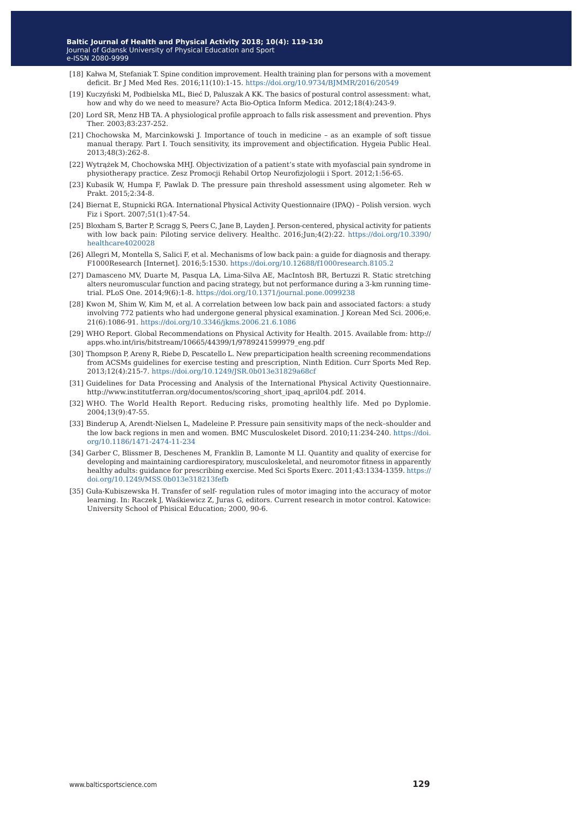- [18] Kałwa M, Stefaniak T. Spine condition improvement. Health training plan for persons with a movement deficit. Br J Med Med Res. 2016;11(10):1-15. <https://doi.org/10.9734/BJMMR/2016/20549>
- [19] Kuczyński M, Podbielska ML, Bieć D, Paluszak A KK. The basics of postural control assessment: what, how and why do we need to measure? Acta Bio-Optica Inform Medica. 2012;18(4):243-9.
- [20] Lord SR, Menz HB TA. A physiological profile approach to falls risk assessment and prevention. Phys Ther. 2003;83:237-252.
- [21] Chochowska M, Marcinkowski J. Importance of touch in medicine as an example of soft tissue manual therapy. Part I. Touch sensitivity, its improvement and objectification. Hygeia Public Heal. 2013;48(3):262-8.
- [22] Wytrążek M, Chochowska MHJ. Objectivization of a patient's state with myofascial pain syndrome in physiotherapy practice. Zesz Promocji Rehabil Ortop Neurofizjologii i Sport. 2012;1:56-65.
- [23] Kubasik W, Humpa F, Pawlak D. The pressure pain threshold assessment using algometer. Reh w Prakt. 2015;2:34-8.
- [24] Biernat E, Stupnicki RGA. International Physical Activity Questionnaire (IPAQ) Polish version. wych Fiz i Sport. 2007;51(1):47-54.
- [25] Bloxham S, Barter P, Scragg S, Peers C, Jane B, Layden J. Person-centered, physical activity for patients with low back pain: Piloting service delivery. Healthc. 2016;Jun;4(2):22. [https://doi.org/10.3390/](https://doi.org/10.3390/healthcare4020028) [healthcare4020028](https://doi.org/10.3390/healthcare4020028)
- [26] Allegri M, Montella S, Salici F, et al. Mechanisms of low back pain: a guide for diagnosis and therapy. F1000Research [Internet]. 2016;5:1530.<https://doi.org/10.12688/f1000research.8105.2>
- [27] Damasceno MV, Duarte M, Pasqua LA, Lima-Silva AE, MacIntosh BR, Bertuzzi R. Static stretching alters neuromuscular function and pacing strategy, but not performance during a 3-km running timetrial. PLoS One. 2014;9(6):1-8.<https://doi.org/10.1371/journal.pone.0099238>
- [28] Kwon M, Shim W, Kim M, et al. A correlation between low back pain and associated factors: a study involving 772 patients who had undergone general physical examination. J Korean Med Sci. 2006;e. 21(6):1086-91. <https://doi.org/10.3346/jkms.2006.21.6.1086>
- [29] WHO Report. Global Recommendations on Physical Activity for Health. 2015. Available from: http:// apps.who.int/iris/bitstream/10665/44399/1/9789241599979\_eng.pdf
- [30] Thompson P, Areny R, Riebe D, Pescatello L. New preparticipation health screening recommendations from ACSMs guidelines for exercise testing and prescription, Ninth Edition. Curr Sports Med Rep. 2013;12(4):215-7. <https://doi.org/10.1249/JSR.0b013e31829a68cf>
- [31] Guidelines for Data Processing and Analysis of the International Physical Activity Questionnaire. http://www.institutferran.org/documentos/scoring\_short\_ipaq\_april04.pdf. 2014.
- [32] WHO. The World Health Report. Reducing risks, promoting healthly life. Med po Dyplomie. 2004;13(9):47-55.
- [33] Binderup A, Arendt-Nielsen L, Madeleine P. Pressure pain sensitivity maps of the neck–shoulder and the low back regions in men and women. BMC Musculoskelet Disord. 2010;11:234-240. [https://doi.](https://doi.org/10.1186/1471-2474-11-234) [org/10.1186/1471-2474-11-234](https://doi.org/10.1186/1471-2474-11-234)
- [34] Garber C, Blissmer B, Deschenes M, Franklin B, Lamonte M LI. Quantity and quality of exercise for developing and maintaining cardiorespiratory, musculoskeletal, and neuromotor fitness in apparently healthy adults: guidance for prescribing exercise. Med Sci Sports Exerc. 2011;43:1334-1359. [https://](https://doi.org/10.1249/MSS.0b013e318213fefb) [doi.org/10.1249/MSS.0b013e318213fefb](https://doi.org/10.1249/MSS.0b013e318213fefb)
- [35] Guła-Kubiszewska H. Transfer of self- regulation rules of motor imaging into the accuracy of motor learning. In: Raczek J, Waśkiewicz Z, Juras G, editors. Current research in motor control. Katowice: University School of Phisical Education; 2000, 90-6.